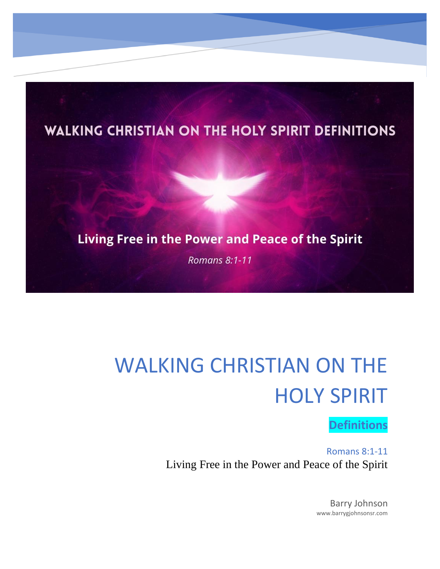

## WALKING CHRISTIAN ON THE HOLY SPIRIT

## **Definitions**

Romans 8:1-11 Living Free in the Power and Peace of the Spirit

> Barry Johnson www.barrygjohnsonsr.com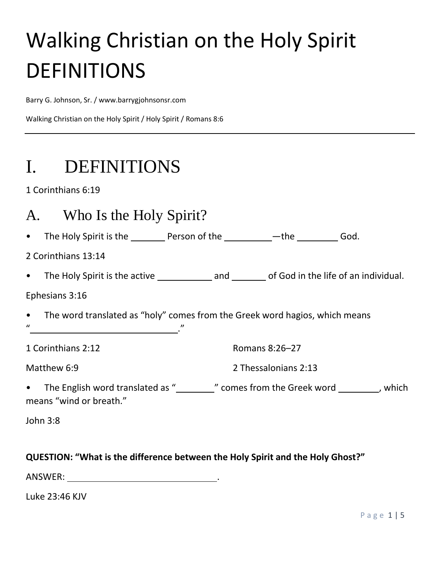# Walking Christian on the Holy Spirit DEFINITIONS

Barry G. Johnson, Sr. / www.barrygjohnsonsr.com

Walking Christian on the Holy Spirit / Holy Spirit / Romans 8:6

## I. DEFINITIONS

1 Corinthians 6:19

## A. Who Is the Holy Spirit?

• The Holy Spirit is the \_\_\_\_\_\_\_\_\_ Person of the \_\_\_\_\_\_\_\_\_\_\_<sup>\_\_\_</sup>the \_\_\_\_\_\_\_\_\_\_\_ God.

2 Corinthians 13:14

• The Holy Spirit is the active and of God in the life of an individual.

#### Ephesians 3:16

- The word translated as "holy" comes from the Greek word hagios, which means
- $\boldsymbol{u}$  . The set of  $\boldsymbol{v}$  is the set of  $\boldsymbol{v}$  is the set of  $\boldsymbol{v}$  is the set of  $\boldsymbol{v}$

1 Corinthians 2:12

Romans 8:26–27

Matthew 6:9

2 Thessalonians 2:13

• The English word translated as "\_\_\_\_\_\_\_\_\_" comes from the Greek word \_\_\_\_\_\_\_\_\_, which means "wind or breath."

John 3:8

#### **QUESTION: "What is the difference between the Holy Spirit and the Holy Ghost?"**

ANSWER: .

Luke 23:46 KJV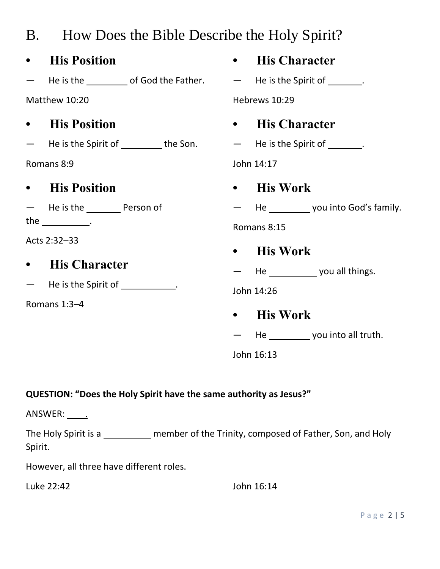|                                            | B. How Does the Bible Describe the Holy Spirit?                                 |           |                                         |
|--------------------------------------------|---------------------------------------------------------------------------------|-----------|-----------------------------------------|
|                                            | • His Position                                                                  |           | • His Character                         |
|                                            | - He is the ______________ of God the Father. - - He is the Spirit of ________. |           |                                         |
| Matthew 10:20                              |                                                                                 |           | Hebrews 10:29                           |
|                                            | • His Position                                                                  | $\bullet$ | <b>His Character</b>                    |
|                                            | - He is the Spirit of _________ the Son. - He is the Spirit of _______.         |           |                                         |
| Romans 8:9                                 |                                                                                 |           | John 14:17                              |
|                                            | • His Position                                                                  |           | • His Work                              |
|                                            | - He is the __________ Person of                                                |           | - He ___________ you into God's family. |
| the $\rule{1em}{0.15mm}$ .<br>Acts 2:32-33 |                                                                                 |           | Romans 8:15                             |
|                                            |                                                                                 |           | • His Work                              |
|                                            | • His Character                                                                 |           | - He _______________ you all things.    |
|                                            | - He is the Spirit of ____________.                                             |           | John 14:26                              |
|                                            | Romans 1:3-4                                                                    |           | • His Work                              |
|                                            |                                                                                 |           | He ____________ you into all truth.     |
|                                            |                                                                                 |           | John 16:13                              |

#### **QUESTION: "Does the Holy Spirit have the same authority as Jesus?"**

ANSWER: <u>. .</u>

The Holy Spirit is a \_\_\_\_\_\_\_\_\_ member of the Trinity, composed of Father, Son, and Holy Spirit.

However, all three have different roles.

Luke 22:42 John 16:14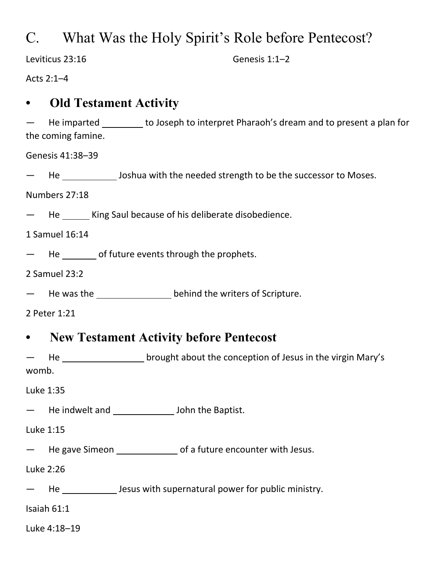## C. What Was the Holy Spirit's Role before Pentecost?

Leviticus 23:16

Genesis 1:1–2

Acts 2:1–4

### **• Old Testament Activity**

He imparted \_\_\_\_\_\_\_\_ to Joseph to interpret Pharaoh's dream and to present a plan for the coming famine.

Genesis 41:38–39

He \_\_\_\_\_\_\_\_\_\_\_\_\_ Joshua with the needed strength to be the successor to Moses.

Numbers 27:18

He \_\_\_\_\_\_\_ King Saul because of his deliberate disobedience.

1 Samuel 16:14

He of future events through the prophets.

2 Samuel 23:2

He was the behind the writers of Scripture.

2 Peter 1:21

### **• New Testament Activity before Pentecost**

He \_\_\_\_\_\_\_\_\_\_\_\_\_\_\_\_\_\_\_\_ brought about the conception of Jesus in the virgin Mary's womb.

Luke 1:35

He indwelt and \_\_\_\_\_\_\_\_\_\_\_\_\_\_\_\_ John the Baptist.

Luke 1:15

- He gave Simeon \_\_\_\_\_\_\_\_\_\_\_\_\_\_\_\_\_\_\_\_\_ of a future encounter with Jesus.

Luke 2:26

He \_\_\_\_\_\_\_\_\_\_\_\_\_\_\_\_ Jesus with supernatural power for public ministry.

Isaiah 61:1

Luke 4:18–19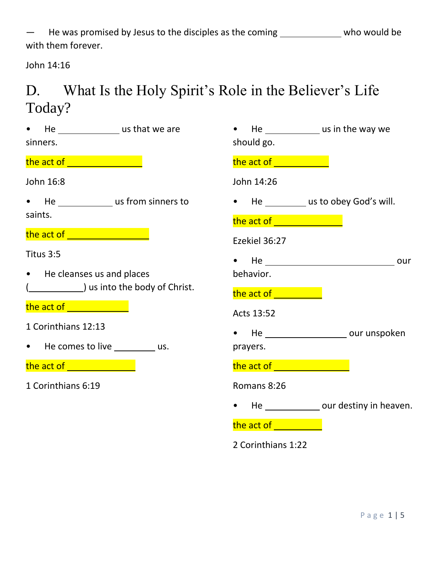He was promised by Jesus to the disciples as the coming \_\_\_\_\_\_\_\_\_\_\_\_\_\_ who would be with them forever.

John 14:16

## D. What Is the Holy Spirit's Role in the Believer's Life Today?

| He __________________ us that we are<br>$\bullet$<br>sinners.                                                         | He _______________ us in the way we<br>$\bullet$<br>should go.                                                           |  |  |
|-----------------------------------------------------------------------------------------------------------------------|--------------------------------------------------------------------------------------------------------------------------|--|--|
| the act of <b>container the act of containing</b>                                                                     | the act of <b>with the set of the set of the set of the set of the set of the set of the set of the set of the set o</b> |  |  |
| John 16:8                                                                                                             | John 14:26                                                                                                               |  |  |
| • He _______________ us from sinners to<br>saints.                                                                    | • He __________ us to obey God's will.                                                                                   |  |  |
|                                                                                                                       | the act of will be a set of the set of the set of the set of the set of the set of the set of the set of the s           |  |  |
| the act of <u>substance the state of</u>                                                                              | Ezekiel 36:27                                                                                                            |  |  |
| Titus 3:5<br>• He cleanses us and places                                                                              | behavior.                                                                                                                |  |  |
| ( Letter 2008) us into the body of Christ.                                                                            | the act of <b>will be absor</b>                                                                                          |  |  |
| the act of <b>with a start of the act of the start of the start of the start of the start of the start of the sta</b> | Acts 13:52                                                                                                               |  |  |
| 1 Corinthians 12:13<br>• He comes to live __________ us.                                                              | prayers.                                                                                                                 |  |  |
| the act of <u>_________________</u>                                                                                   | the act of <b>container the set of the act of</b>                                                                        |  |  |
| 1 Corinthians 6:19                                                                                                    | Romans 8:26                                                                                                              |  |  |
|                                                                                                                       | He ______________ our destiny in heaven.<br>$\bullet$                                                                    |  |  |
|                                                                                                                       | <b>the act of the state of the state of the state</b>                                                                    |  |  |

2 Corinthians 1:22